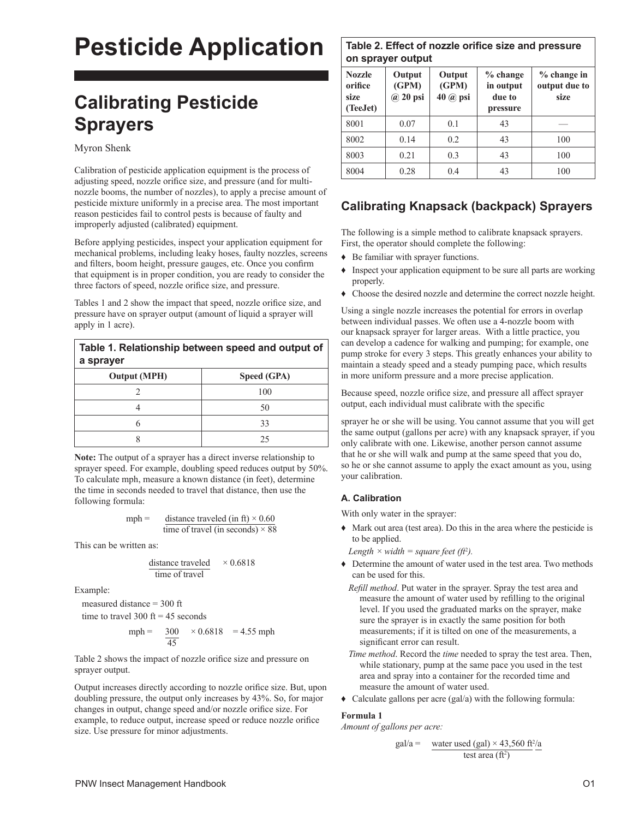# **Pesticide Application**

## **Calibrating Pesticide Sprayers**

Myron Shenk

Calibration of pesticide application equipment is the process of adjusting speed, nozzle orifice size, and pressure (and for multinozzle booms, the number of nozzles), to apply a precise amount of pesticide mixture uniformly in a precise area. The most important reason pesticides fail to control pests is because of faulty and improperly adjusted (calibrated) equipment.

Before applying pesticides, inspect your application equipment for mechanical problems, including leaky hoses, faulty nozzles, screens and filters, boom height, pressure gauges, etc. Once you confirm that equipment is in proper condition, you are ready to consider the three factors of speed, nozzle orifice size, and pressure.

Tables 1 and 2 show the impact that speed, nozzle orifice size, and pressure have on sprayer output (amount of liquid a sprayer will apply in 1 acre).

### **Table 1. Relationship between speed and output of a sprayer**

| <b>Output (MPH)</b> | Speed (GPA) |
|---------------------|-------------|
|                     | 100         |
|                     | 50          |
|                     | 33          |
|                     | 25          |

**Note:** The output of a sprayer has a direct inverse relationship to sprayer speed. For example, doubling speed reduces output by 50%. To calculate mph, measure a known distance (in feet), determine the time in seconds needed to travel that distance, then use the following formula:

$$
mph = \frac{\text{distance traveled (in ft)} \times 0.60}{\text{time of travel (in seconds)} \times 88}
$$

This can be written as:

distance traveled  
time of travel 
$$
\times 0.6818
$$

Example:

measured distance = 300 ft

time to travel 300 ft = 45 seconds

$$
mph = \frac{300}{45} \times 0.6818 = 4.55 mph
$$

Table 2 shows the impact of nozzle orifice size and pressure on sprayer output.

Output increases directly according to nozzle orifice size. But, upon doubling pressure, the output only increases by 43%. So, for major changes in output, change speed and/or nozzle orifice size. For example, to reduce output, increase speed or reduce nozzle orifice size. Use pressure for minor adjustments.

## **Table 2. Effect of nozzle orifice size and pressure on sprayer output**

| <b>Nozzle</b><br>orifice<br>size<br>(TeeJet) | Output<br>(GPM)<br>$\omega$ 20 psi | Output<br>(GPM)<br>40 @ psi | $%$ change<br>in output<br>due to<br>pressure | $%$ change in<br>output due to<br>size |
|----------------------------------------------|------------------------------------|-----------------------------|-----------------------------------------------|----------------------------------------|
| 8001                                         | 0.07                               | 0.1                         | 43                                            |                                        |
| 8002                                         | 0.14                               | 0.2                         | 43                                            | 100                                    |
| 8003                                         | 0.21                               | 0.3                         | 43                                            | 100                                    |
| 8004                                         | 0.28                               | 0.4                         | 43                                            | 100                                    |

## **Calibrating Knapsack (backpack) Sprayers**

The following is a simple method to calibrate knapsack sprayers. First, the operator should complete the following:

- ♦ Be familiar with sprayer functions.
- ♦ Inspect your application equipment to be sure all parts are working properly.
- ♦ Choose the desired nozzle and determine the correct nozzle height.

Using a single nozzle increases the potential for errors in overlap between individual passes. We often use a 4-nozzle boom with our knapsack sprayer for larger areas. With a little practice, you can develop a cadence for walking and pumping; for example, one pump stroke for every 3 steps. This greatly enhances your ability to maintain a steady speed and a steady pumping pace, which results in more uniform pressure and a more precise application.

Because speed, nozzle orifice size, and pressure all affect sprayer output, each individual must calibrate with the specific

sprayer he or she will be using. You cannot assume that you will get the same output (gallons per acre) with any knapsack sprayer, if you only calibrate with one. Likewise, another person cannot assume that he or she will walk and pump at the same speed that you do, so he or she cannot assume to apply the exact amount as you, using your calibration.

## **A. Calibration**

With only water in the sprayer:

♦ Mark out area (test area). Do this in the area where the pesticide is to be applied.

Length  $\times$  width  $=$  square feet (ft<sup>2</sup>).

- ♦ Determine the amount of water used in the test area. Two methods can be used for this.
	- *Refill method*. Put water in the sprayer. Spray the test area and measure the amount of water used by refilling to the original level. If you used the graduated marks on the sprayer, make sure the sprayer is in exactly the same position for both measurements; if it is tilted on one of the measurements, a significant error can result.
	- *Time method*. Record the *time* needed to spray the test area. Then, while stationary, pump at the same pace you used in the test area and spray into a container for the recorded time and measure the amount of water used.
- $\triangleleft$  Calculate gallons per acre (gal/a) with the following formula:

## **Formula 1**

*Amount of gallons per acre:* 

$$
gal/a = \frac{\text{water used (gal)} \times 43,560 \text{ ft}^2/\text{a}}{\text{test area (ft}^2)}
$$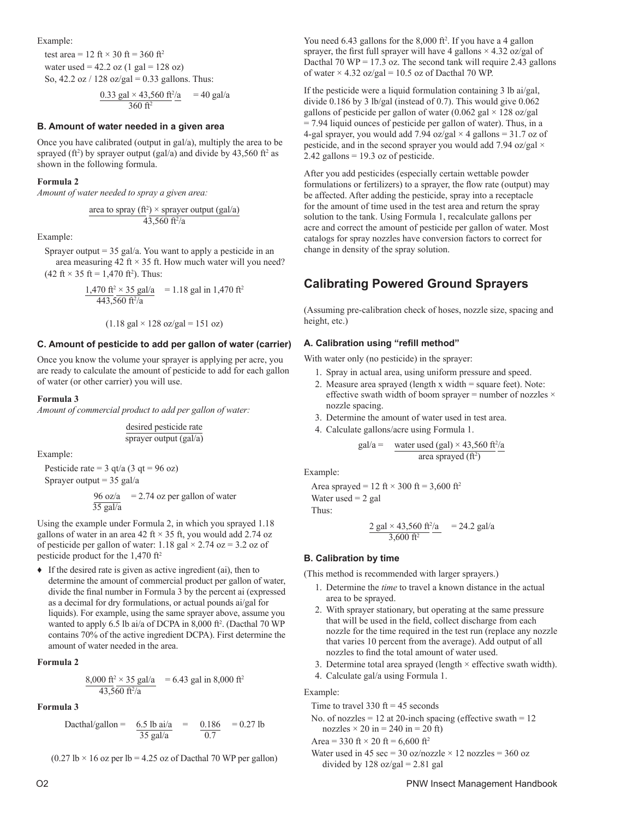Example:

test area = 12 ft  $\times$  30 ft = 360 ft<sup>2</sup> water used =  $42.2$  oz  $(1 \text{ gal} = 128 \text{ oz})$ So,  $42.2$  oz /  $128$  oz/gal = 0.33 gallons. Thus:

$$
\frac{0.33 \text{ gal} \times 43,560 \text{ ft}^2/\text{a}}{360 \text{ ft}^2} = 40 \text{ gal/a}
$$

#### **B. Amount of water needed in a given area**

Once you have calibrated (output in gal/a), multiply the area to be sprayed (ft<sup>2</sup>) by sprayer output (gal/a) and divide by  $43,560$  ft<sup>2</sup> as shown in the following formula.

#### **Formula 2**

*Amount of water needed to spray a given area:*

$$
\frac{\text{area to spray (ft}^2) \times \text{srayer output (gal/a)}}{43,560 \text{ ft}^2/\text{a}}
$$

Example:

Sprayer output  $= 35$  gal/a. You want to apply a pesticide in an area measuring 42 ft  $\times$  35 ft. How much water will you need?  $(42 \text{ ft} \times 35 \text{ ft} = 1,470 \text{ ft}^2)$ . Thus:

$$
\frac{1,470 \text{ ft}^2 \times 35 \text{ gal/a}}{443,560 \text{ ft}^2/\text{a}} = 1.18 \text{ gal in } 1,470 \text{ ft}^2
$$

$$
(1.18 \text{ gal} \times 128 \text{ oz/gal} = 151 \text{ oz})
$$

#### **C. Amount of pesticide to add per gallon of water (carrier)**

Once you know the volume your sprayer is applying per acre, you are ready to calculate the amount of pesticide to add for each gallon of water (or other carrier) you will use.

#### **Formula 3**

*Amount of commercial product to add per gallon of water:*

desired pesticide rate sprayer output (gal/a)

Example:

Pesticide rate =  $3$  qt/a ( $3$  qt =  $96$  oz)

Sprayer output  $= 35$  gal/a

$$
\frac{96 \text{ oz/a}}{35 \text{ gal/a}} = 2.74 \text{ oz per gallon of water}
$$

Using the example under Formula 2, in which you sprayed 1.18 gallons of water in an area 42 ft  $\times$  35 ft, you would add 2.74 oz of pesticide per gallon of water: 1.18 gal  $\times$  2.74 oz = 3.2 oz of pesticide product for the 1,470 ft<sup>2</sup>

 $\bullet$  If the desired rate is given as active ingredient (ai), then to determine the amount of commercial product per gallon of water, divide the final number in Formula 3 by the percent ai (expressed as a decimal for dry formulations, or actual pounds ai/gal for liquids). For example, using the same sprayer above, assume you wanted to apply 6.5 lb ai/a of DCPA in 8,000 ft<sup>2</sup>. (Dacthal 70 WP contains 70% of the active ingredient DCPA). First determine the amount of water needed in the area.

#### **Formula 2**

$$
\frac{8,000 \text{ ft}^2 \times 35 \text{ gal/a}}{43,560 \text{ ft}^2/\text{a}} = 6.43 \text{ gal in } 8,000 \text{ ft}^2
$$

#### **Formula 3**

Dachal/gallon = 
$$
\frac{6.5 \text{ lb ai/a}}{35 \text{ gal/a}}
$$
 =  $\frac{0.186}{0.7}$  = 0.27 lb

 $(0.27 \text{ lb} \times 16 \text{ oz per lb} = 4.25 \text{ oz of Dacthal } 70 \text{ WP per gallon})$ 

You need 6.43 gallons for the 8,000 ft<sup>2</sup>. If you have a 4 gallon sprayer, the first full sprayer will have 4 gallons  $\times$  4.32 oz/gal of Dacthal 70 WP = 17.3 oz. The second tank will require 2.43 gallons of water  $\times$  4.32 oz/gal = 10.5 oz of Dacthal 70 WP.

If the pesticide were a liquid formulation containing 3 lb ai/gal, divide 0.186 by 3 lb/gal (instead of 0.7). This would give 0.062 gallons of pesticide per gallon of water (0.062 gal  $\times$  128 oz/gal = 7.94 liquid ounces of pesticide per gallon of water). Thus, in a 4-gal sprayer, you would add 7.94 oz/gal  $\times$  4 gallons = 31.7 oz of pesticide, and in the second sprayer you would add 7.94 oz/gal  $\times$  $2.42$  gallons = 19.3 oz of pesticide.

After you add pesticides (especially certain wettable powder formulations or fertilizers) to a sprayer, the flow rate (output) may be affected. After adding the pesticide, spray into a receptacle for the amount of time used in the test area and return the spray solution to the tank. Using Formula 1, recalculate gallons per acre and correct the amount of pesticide per gallon of water. Most catalogs for spray nozzles have conversion factors to correct for change in density of the spray solution.

## **Calibrating Powered Ground Sprayers**

(Assuming pre-calibration check of hoses, nozzle size, spacing and height, etc.)

#### **A. Calibration using "refill method"**

With water only (no pesticide) in the sprayer:

- 1. Spray in actual area, using uniform pressure and speed.
- 2. Measure area sprayed (length x width = square feet). Note: effective swath width of boom sprayer = number of nozzles  $\times$ nozzle spacing.
- 3. Determine the amount of water used in test area.
- 4. Calculate gallons/acre using Formula 1.

$$
gal/a = \frac{\text{water used (gal)} \times 43,560 \text{ ft}^2/\text{a}}{\text{area spread (ft}^2)}
$$

Example:

Area sprayed = 12 ft  $\times$  300 ft = 3,600 ft<sup>2</sup> Water used  $= 2$  gal Thus:

$$
\frac{2 \text{ gal} \times 43,560 \text{ ft}^2/\text{a}}{3,600 \text{ ft}^2} = 24.2 \text{ gal/a}
$$

#### **B. Calibration by time**

(This method is recommended with larger sprayers.)

- 1. Determine the *time* to travel a known distance in the actual area to be sprayed.
- 2. With sprayer stationary, but operating at the same pressure that will be used in the field, collect discharge from each nozzle for the time required in the test run (replace any nozzle that varies 10 percent from the average). Add output of all nozzles to find the total amount of water used.
- 3. Determine total area sprayed (length  $\times$  effective swath width).
- 4. Calculate gal/a using Formula 1.

Example:

Time to travel 330 ft =  $45$  seconds

No. of nozzles  $= 12$  at 20-inch spacing (effective swath  $= 12$ ) nozzles  $\times$  20 in = 240 in = 20 ft)

Area = 330 ft  $\times$  20 ft = 6,600 ft<sup>2</sup>

Water used in 45 sec = 30 oz/nozzle  $\times$  12 nozzles = 360 oz divided by  $128 \text{ oz/gal} = 2.81 \text{ gal}$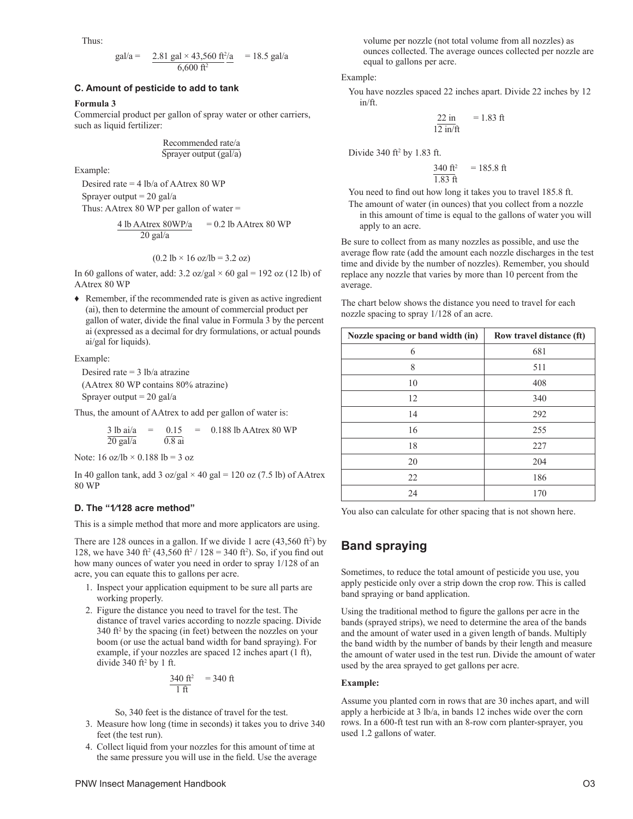Thus:

$$
gal/a = \frac{2.81 \text{ gal} \times 43,560 \text{ ft}^2/a}{6,600 \text{ ft}^2} = 18.5 \text{ gal/a}
$$

#### **C. Amount of pesticide to add to tank**

#### **Formula 3**

Commercial product per gallon of spray water or other carriers, such as liquid fertilizer:

Recommended rate/a Sprayer output (gal/a)

Example:

Desired rate = 4 lb/a of AAtrex 80 WP Sprayer output  $= 20$  gal/a Thus: AAtrex 80 WP per gallon of water =

$$
\frac{4 \text{ lb AAtrex } 80 \text{WP/a}}{20 \text{ gal/a}} = 0.2 \text{ lb AAtrex } 80 \text{ WP}
$$

$$
(0.2 \text{ lb} \times 16 \text{ oz/lb} = 3.2 \text{ oz})
$$

In 60 gallons of water, add:  $3.2 \text{ oz/gal} \times 60 \text{ gal} = 192 \text{ oz} (12 \text{ lb}) \text{ of}$ AAtrex 80 WP

♦ Remember, if the recommended rate is given as active ingredient (ai), then to determine the amount of commercial product per gallon of water, divide the final value in Formula 3 by the percent ai (expressed as a decimal for dry formulations, or actual pounds ai/gal for liquids).

#### Example:

Desired rate  $=$  3 lb/a atrazine (AAtrex 80 WP contains 80% atrazine) Sprayer output  $= 20$  gal/a

Thus, the amount of AAtrex to add per gallon of water is:

$$
\frac{3 \text{ lb } \text{ai/a}}{20 \text{ gal/a}} = \frac{0.15}{0.8 \text{ ai}} = 0.188 \text{ lb } \text{AA} \text{trex } 80 \text{ WP}
$$

Note:  $16$  oz/lb  $\times$  0.188 lb = 3 oz

In 40 gallon tank, add 3 oz/gal  $\times$  40 gal = 120 oz (7.5 lb) of AAtrex 80 WP

#### **D. The "1⁄128 acre method"**

This is a simple method that more and more applicators are using.

There are 128 ounces in a gallon. If we divide 1 acre  $(43,560 \text{ ft}^2)$  by 128, we have 340 ft<sup>2</sup> (43,560 ft<sup>2</sup> / 128 = 340 ft<sup>2</sup>). So, if you find out how many ounces of water you need in order to spray 1/128 of an acre, you can equate this to gallons per acre.

- 1. Inspect your application equipment to be sure all parts are working properly.
- 2. Figure the distance you need to travel for the test. The distance of travel varies according to nozzle spacing. Divide 340 ft2 by the spacing (in feet) between the nozzles on your boom (or use the actual band width for band spraying). For example, if your nozzles are spaced 12 inches apart (1 ft), divide  $340 \text{ ft}^2$  by 1 ft.

$$
\frac{340 \text{ ft}^2}{1 \text{ ft}} = 340 \text{ ft}
$$

So, 340 feet is the distance of travel for the test.

- 3. Measure how long (time in seconds) it takes you to drive 340 feet (the test run).
- 4. Collect liquid from your nozzles for this amount of time at the same pressure you will use in the field. Use the average

volume per nozzle (not total volume from all nozzles) as ounces collected. The average ounces collected per nozzle are equal to gallons per acre.

Example:

You have nozzles spaced 22 inches apart. Divide 22 inches by 12 in/ft.

$$
\frac{22 \text{ in}}{12 \text{ in/ft}} = 1.83 \text{ ft}
$$

Divide  $340$  ft<sup>2</sup> by 1.83 ft.

$$
\frac{340 \text{ ft}^2}{1.83 \text{ ft}} = 185.8 \text{ ft}
$$

You need to find out how long it takes you to travel 185.8 ft.

The amount of water (in ounces) that you collect from a nozzle in this amount of time is equal to the gallons of water you will apply to an acre.

Be sure to collect from as many nozzles as possible, and use the average flow rate (add the amount each nozzle discharges in the test time and divide by the number of nozzles). Remember, you should replace any nozzle that varies by more than 10 percent from the average.

The chart below shows the distance you need to travel for each

nozzle spacing to spray 1/128 of an acre.

| Nozzle spacing or band width (in) | Row travel distance (ft) |
|-----------------------------------|--------------------------|
| 6                                 | 681                      |
| 8                                 | 511                      |
| 10                                | 408                      |
| 12                                | 340                      |
| 14                                | 292                      |
| 16                                | 255                      |
| 18                                | 227                      |
| 20                                | 204                      |
| 22                                | 186                      |
| 24                                | 170                      |

You also can calculate for other spacing that is not shown here.

## **Band spraying**

Sometimes, to reduce the total amount of pesticide you use, you apply pesticide only over a strip down the crop row. This is called band spraying or band application.

Using the traditional method to figure the gallons per acre in the bands (sprayed strips), we need to determine the area of the bands and the amount of water used in a given length of bands. Multiply the band width by the number of bands by their length and measure the amount of water used in the test run. Divide the amount of water used by the area sprayed to get gallons per acre.

#### **Example:**

Assume you planted corn in rows that are 30 inches apart, and will apply a herbicide at 3 lb/a, in bands 12 inches wide over the corn rows. In a 600-ft test run with an 8-row corn planter-sprayer, you used 1.2 gallons of water.